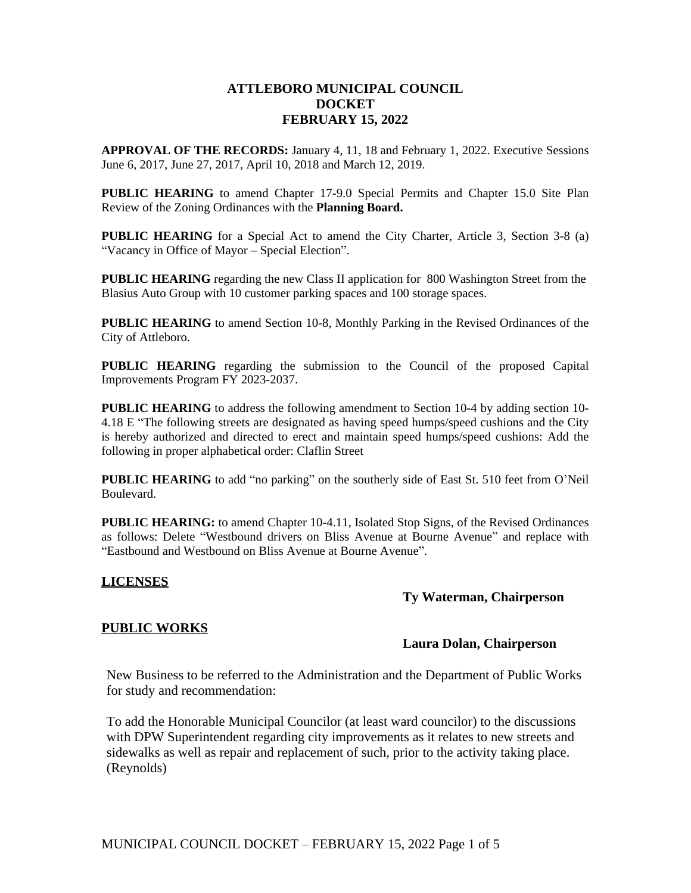# **ATTLEBORO MUNICIPAL COUNCIL DOCKET FEBRUARY 15, 2022**

**APPROVAL OF THE RECORDS:** January 4, 11, 18 and February 1, 2022. Executive Sessions June 6, 2017, June 27, 2017, April 10, 2018 and March 12, 2019.

**PUBLIC HEARING** to amend Chapter 17-9.0 Special Permits and Chapter 15.0 Site Plan Review of the Zoning Ordinances with the **Planning Board.**

**PUBLIC HEARING** for a Special Act to amend the City Charter, Article 3, Section 3-8 (a) "Vacancy in Office of Mayor – Special Election".

**PUBLIC HEARING** regarding the new Class II application for 800 Washington Street from the Blasius Auto Group with 10 customer parking spaces and 100 storage spaces.

**PUBLIC HEARING** to amend Section 10-8, Monthly Parking in the Revised Ordinances of the City of Attleboro.

**PUBLIC HEARING** regarding the submission to the Council of the proposed Capital Improvements Program FY 2023-2037.

**PUBLIC HEARING** to address the following amendment to Section 10-4 by adding section 10- 4.18 E "The following streets are designated as having speed humps/speed cushions and the City is hereby authorized and directed to erect and maintain speed humps/speed cushions: Add the following in proper alphabetical order: Claflin Street

**PUBLIC HEARING** to add "no parking" on the southerly side of East St. 510 feet from O'Neil Boulevard.

**PUBLIC HEARING:** to amend Chapter 10-4.11, Isolated Stop Signs, of the Revised Ordinances as follows: Delete "Westbound drivers on Bliss Avenue at Bourne Avenue" and replace with "Eastbound and Westbound on Bliss Avenue at Bourne Avenue".

#### **LICENSES**

# **Ty Waterman, Chairperson**

# **PUBLIC WORKS**

#### **Laura Dolan, Chairperson**

New Business to be referred to the Administration and the Department of Public Works for study and recommendation:

To add the Honorable Municipal Councilor (at least ward councilor) to the discussions with DPW Superintendent regarding city improvements as it relates to new streets and sidewalks as well as repair and replacement of such, prior to the activity taking place. (Reynolds)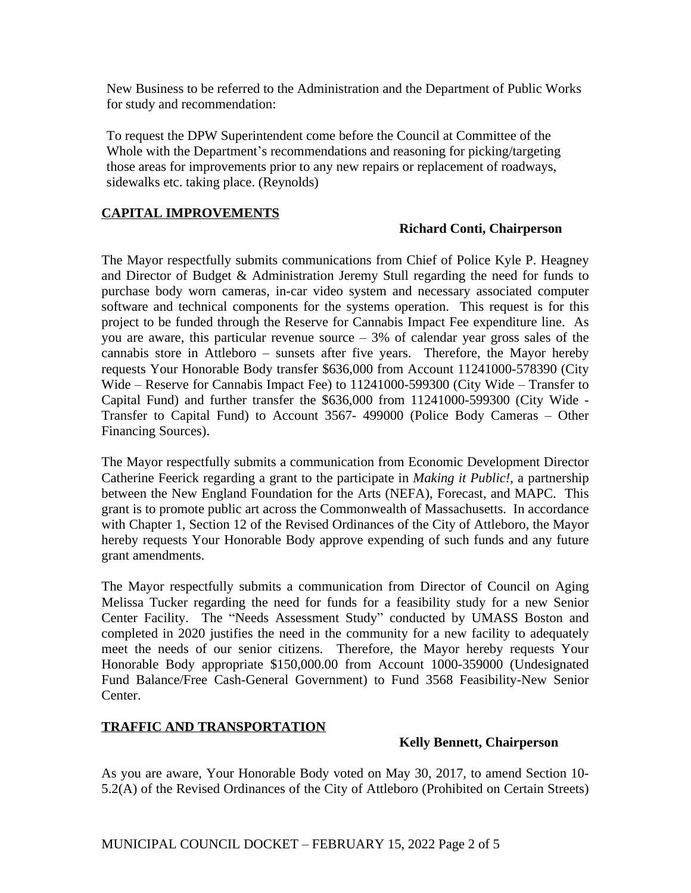New Business to be referred to the Administration and the Department of Public Works for study and recommendation:

To request the DPW Superintendent come before the Council at Committee of the Whole with the Department's recommendations and reasoning for picking/targeting those areas for improvements prior to any new repairs or replacement of roadways, sidewalks etc. taking place. (Reynolds)

# **CAPITAL IMPROVEMENTS**

# **Richard Conti, Chairperson**

The Mayor respectfully submits communications from Chief of Police Kyle P. Heagney and Director of Budget & Administration Jeremy Stull regarding the need for funds to purchase body worn cameras, in-car video system and necessary associated computer software and technical components for the systems operation. This request is for this project to be funded through the Reserve for Cannabis Impact Fee expenditure line. As you are aware, this particular revenue source – 3% of calendar year gross sales of the cannabis store in Attleboro – sunsets after five years. Therefore, the Mayor hereby requests Your Honorable Body transfer \$636,000 from Account 11241000-578390 (City Wide – Reserve for Cannabis Impact Fee) to 11241000-599300 (City Wide – Transfer to Capital Fund) and further transfer the \$636,000 from 11241000-599300 (City Wide - Transfer to Capital Fund) to Account 3567- 499000 (Police Body Cameras – Other Financing Sources).

The Mayor respectfully submits a communication from Economic Development Director Catherine Feerick regarding a grant to the participate in *Making it Public!*, a partnership between the New England Foundation for the Arts (NEFA), Forecast, and MAPC. This grant is to promote public art across the Commonwealth of Massachusetts. In accordance with Chapter 1, Section 12 of the Revised Ordinances of the City of Attleboro, the Mayor hereby requests Your Honorable Body approve expending of such funds and any future grant amendments.

The Mayor respectfully submits a communication from Director of Council on Aging Melissa Tucker regarding the need for funds for a feasibility study for a new Senior Center Facility. The "Needs Assessment Study" conducted by UMASS Boston and completed in 2020 justifies the need in the community for a new facility to adequately meet the needs of our senior citizens. Therefore, the Mayor hereby requests Your Honorable Body appropriate \$150,000.00 from Account 1000-359000 (Undesignated Fund Balance/Free Cash-General Government) to Fund 3568 Feasibility-New Senior Center.

# **TRAFFIC AND TRANSPORTATION**

# **Kelly Bennett, Chairperson**

As you are aware, Your Honorable Body voted on May 30, 2017, to amend Section 10- 5.2(A) of the Revised Ordinances of the City of Attleboro (Prohibited on Certain Streets)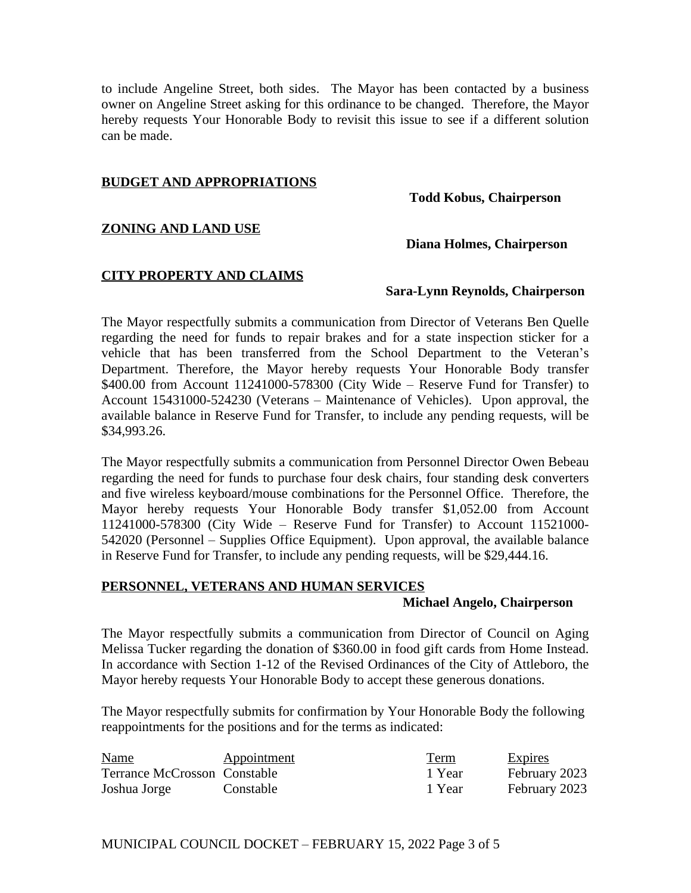to include Angeline Street, both sides. The Mayor has been contacted by a business owner on Angeline Street asking for this ordinance to be changed. Therefore, the Mayor hereby requests Your Honorable Body to revisit this issue to see if a different solution can be made.

### **BUDGET AND APPROPRIATIONS**

**Todd Kobus, Chairperson**

# **ZONING AND LAND USE**

### **Diana Holmes, Chairperson**

#### **CITY PROPERTY AND CLAIMS**

### **Sara-Lynn Reynolds, Chairperson**

The Mayor respectfully submits a communication from Director of Veterans Ben Quelle regarding the need for funds to repair brakes and for a state inspection sticker for a vehicle that has been transferred from the School Department to the Veteran's Department. Therefore, the Mayor hereby requests Your Honorable Body transfer \$400.00 from Account 11241000-578300 (City Wide – Reserve Fund for Transfer) to Account 15431000-524230 (Veterans – Maintenance of Vehicles). Upon approval, the available balance in Reserve Fund for Transfer, to include any pending requests, will be \$34,993.26.

The Mayor respectfully submits a communication from Personnel Director Owen Bebeau regarding the need for funds to purchase four desk chairs, four standing desk converters and five wireless keyboard/mouse combinations for the Personnel Office. Therefore, the Mayor hereby requests Your Honorable Body transfer \$1,052.00 from Account 11241000-578300 (City Wide – Reserve Fund for Transfer) to Account 11521000- 542020 (Personnel – Supplies Office Equipment). Upon approval, the available balance in Reserve Fund for Transfer, to include any pending requests, will be \$29,444.16.

# **PERSONNEL, VETERANS AND HUMAN SERVICES**

#### **Michael Angelo, Chairperson**

The Mayor respectfully submits a communication from Director of Council on Aging Melissa Tucker regarding the donation of \$360.00 in food gift cards from Home Instead. In accordance with Section 1-12 of the Revised Ordinances of the City of Attleboro, the Mayor hereby requests Your Honorable Body to accept these generous donations.

The Mayor respectfully submits for confirmation by Your Honorable Body the following reappointments for the positions and for the terms as indicated:

| <b>Name</b>                  | Appointment | <b>Term</b> | <b>Expires</b> |
|------------------------------|-------------|-------------|----------------|
| Terrance McCrosson Constable |             | 1 Year      | February 2023  |
| Joshua Jorge                 | Constable   | 1 Year      | February 2023  |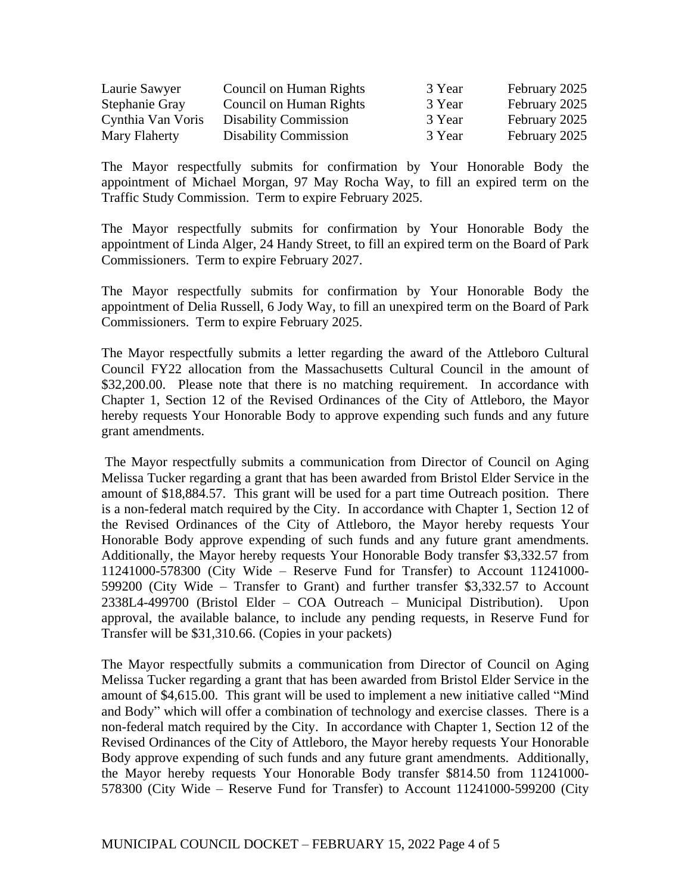| Laurie Sawyer     | Council on Human Rights      | 3 Year | February 2025 |
|-------------------|------------------------------|--------|---------------|
| Stephanie Gray    | Council on Human Rights      | 3 Year | February 2025 |
| Cynthia Van Voris | <b>Disability Commission</b> | 3 Year | February 2025 |
| Mary Flaherty     | <b>Disability Commission</b> | 3 Year | February 2025 |

The Mayor respectfully submits for confirmation by Your Honorable Body the appointment of Michael Morgan, 97 May Rocha Way, to fill an expired term on the Traffic Study Commission. Term to expire February 2025.

The Mayor respectfully submits for confirmation by Your Honorable Body the appointment of Linda Alger, 24 Handy Street, to fill an expired term on the Board of Park Commissioners. Term to expire February 2027.

The Mayor respectfully submits for confirmation by Your Honorable Body the appointment of Delia Russell, 6 Jody Way, to fill an unexpired term on the Board of Park Commissioners. Term to expire February 2025.

The Mayor respectfully submits a letter regarding the award of the Attleboro Cultural Council FY22 allocation from the Massachusetts Cultural Council in the amount of \$32,200.00. Please note that there is no matching requirement. In accordance with Chapter 1, Section 12 of the Revised Ordinances of the City of Attleboro, the Mayor hereby requests Your Honorable Body to approve expending such funds and any future grant amendments.

The Mayor respectfully submits a communication from Director of Council on Aging Melissa Tucker regarding a grant that has been awarded from Bristol Elder Service in the amount of \$18,884.57. This grant will be used for a part time Outreach position. There is a non-federal match required by the City. In accordance with Chapter 1, Section 12 of the Revised Ordinances of the City of Attleboro, the Mayor hereby requests Your Honorable Body approve expending of such funds and any future grant amendments. Additionally, the Mayor hereby requests Your Honorable Body transfer \$3,332.57 from 11241000-578300 (City Wide – Reserve Fund for Transfer) to Account 11241000- 599200 (City Wide – Transfer to Grant) and further transfer \$3,332.57 to Account 2338L4-499700 (Bristol Elder – COA Outreach – Municipal Distribution). Upon approval, the available balance, to include any pending requests, in Reserve Fund for Transfer will be \$31,310.66. (Copies in your packets)

The Mayor respectfully submits a communication from Director of Council on Aging Melissa Tucker regarding a grant that has been awarded from Bristol Elder Service in the amount of \$4,615.00. This grant will be used to implement a new initiative called "Mind and Body" which will offer a combination of technology and exercise classes. There is a non-federal match required by the City. In accordance with Chapter 1, Section 12 of the Revised Ordinances of the City of Attleboro, the Mayor hereby requests Your Honorable Body approve expending of such funds and any future grant amendments. Additionally, the Mayor hereby requests Your Honorable Body transfer \$814.50 from 11241000- 578300 (City Wide – Reserve Fund for Transfer) to Account 11241000-599200 (City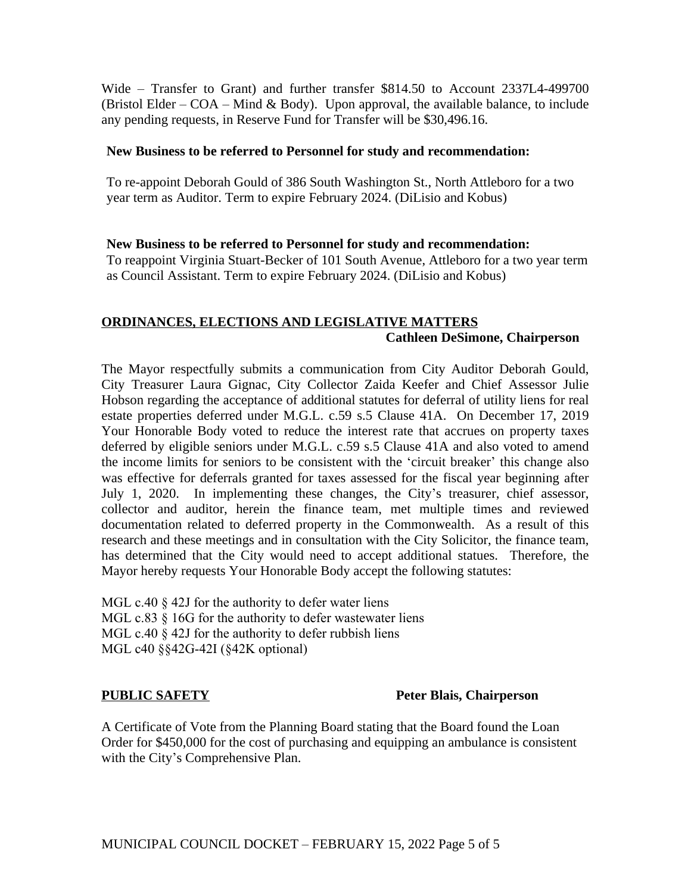Wide – Transfer to Grant) and further transfer \$814.50 to Account 2337L4-499700 (Bristol Elder –  $COA$  – Mind & Body). Upon approval, the available balance, to include any pending requests, in Reserve Fund for Transfer will be \$30,496.16.

# **New Business to be referred to Personnel for study and recommendation:**

To re-appoint Deborah Gould of 386 South Washington St., North Attleboro for a two year term as Auditor. Term to expire February 2024. (DiLisio and Kobus)

# **New Business to be referred to Personnel for study and recommendation:**

To reappoint Virginia Stuart-Becker of 101 South Avenue, Attleboro for a two year term as Council Assistant. Term to expire February 2024. (DiLisio and Kobus)

# **ORDINANCES, ELECTIONS AND LEGISLATIVE MATTERS Cathleen DeSimone, Chairperson**

The Mayor respectfully submits a communication from City Auditor Deborah Gould, City Treasurer Laura Gignac, City Collector Zaida Keefer and Chief Assessor Julie Hobson regarding the acceptance of additional statutes for deferral of utility liens for real estate properties deferred under M.G.L. c.59 s.5 Clause 41A. On December 17, 2019 Your Honorable Body voted to reduce the interest rate that accrues on property taxes deferred by eligible seniors under M.G.L. c.59 s.5 Clause 41A and also voted to amend the income limits for seniors to be consistent with the 'circuit breaker' this change also was effective for deferrals granted for taxes assessed for the fiscal year beginning after July 1, 2020. In implementing these changes, the City's treasurer, chief assessor, collector and auditor, herein the finance team, met multiple times and reviewed documentation related to deferred property in the Commonwealth. As a result of this research and these meetings and in consultation with the City Solicitor, the finance team, has determined that the City would need to accept additional statues. Therefore, the Mayor hereby requests Your Honorable Body accept the following statutes:

MGL c.40  $\&$  42J for the authority to defer water liens MGL c.83  $\S$  16G for the authority to defer wastewater liens MGL c.40  $\hat{\S}$  42J for the authority to defer rubbish liens MGL c40 §§42G-42I (§42K optional)

# **PUBLIC SAFETY** PUBLIC **PUBLIC PERECIPITY** Peter Blais, Chairperson

A Certificate of Vote from the Planning Board stating that the Board found the Loan Order for \$450,000 for the cost of purchasing and equipping an ambulance is consistent with the City's Comprehensive Plan.